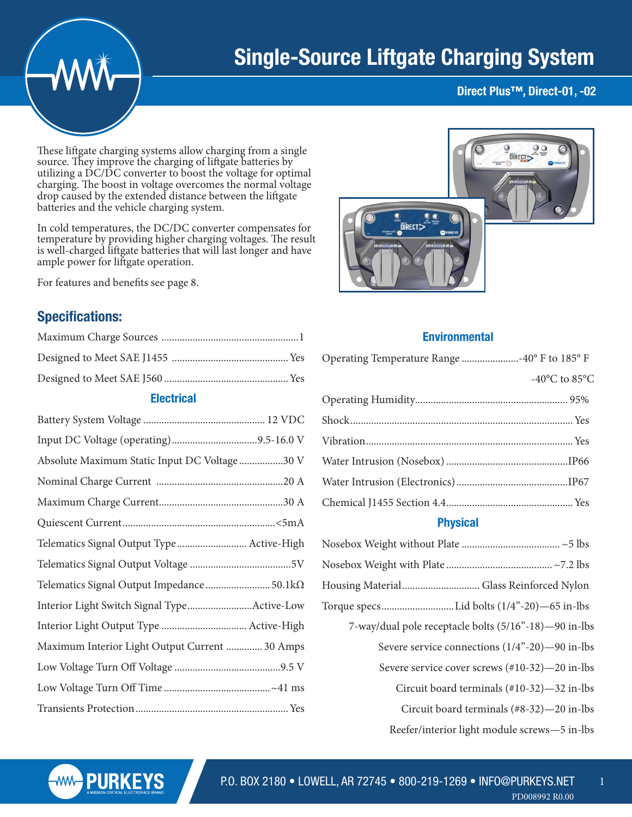

# Single-Source Liftgate Charging System

#### Direct Plus™, Direct-01, -02

These liftgate charging systems allow charging from a single source. They improve the charging of liftgate batteries by utilizing a DC/DC converter to boost the voltage for optimal charging. The boost in voltage overcomes the normal voltage drop caused by the extended distance between the liftgate batteries and the vehicle charging system.

In cold temperatures, the DC/DC converter compensates for temperature by providing higher charging voltages. The result is well-charged liftgate batteries that will last longer and have ample power for liftgate operation.

For features and benefits see page 8.

### Specifications:

| <b>Electrical</b>                              |
|------------------------------------------------|
|                                                |
|                                                |
| Absolute Maximum Static Input DC Voltage 30 V  |
|                                                |
|                                                |
|                                                |
| Telematics Signal Output Type Active-High      |
|                                                |
| Telematics Signal Output Impedance  50.1kΩ     |
| Interior Light Switch Signal TypeActive-Low    |
|                                                |
| Maximum Interior Light Output Current  30 Amps |
|                                                |
|                                                |
|                                                |



#### **Environmental**

| <b>Physical</b>                     |  |  |
|-------------------------------------|--|--|
|                                     |  |  |
|                                     |  |  |
|                                     |  |  |
|                                     |  |  |
|                                     |  |  |
|                                     |  |  |
| -40 $^{\circ}$ C to 85 $^{\circ}$ C |  |  |
|                                     |  |  |

| Housing Material Glass Reinforced Nylon               |
|-------------------------------------------------------|
| Torque specsLid bolts (1/4"-20)—65 in-lbs             |
| 7-way/dual pole receptacle bolts (5/16"-18)-90 in-lbs |
| Severe service connections (1/4"-20)-90 in-lbs        |
| Severe service cover screws (#10-32)-20 in-lbs        |
| Circuit board terminals $(\text{\#}10-32)$ —32 in-lbs |
| Circuit board terminals $(\text{\#8-32})$ —20 in-lbs  |
| Reefer/interior light module screws—5 in-lbs          |

1

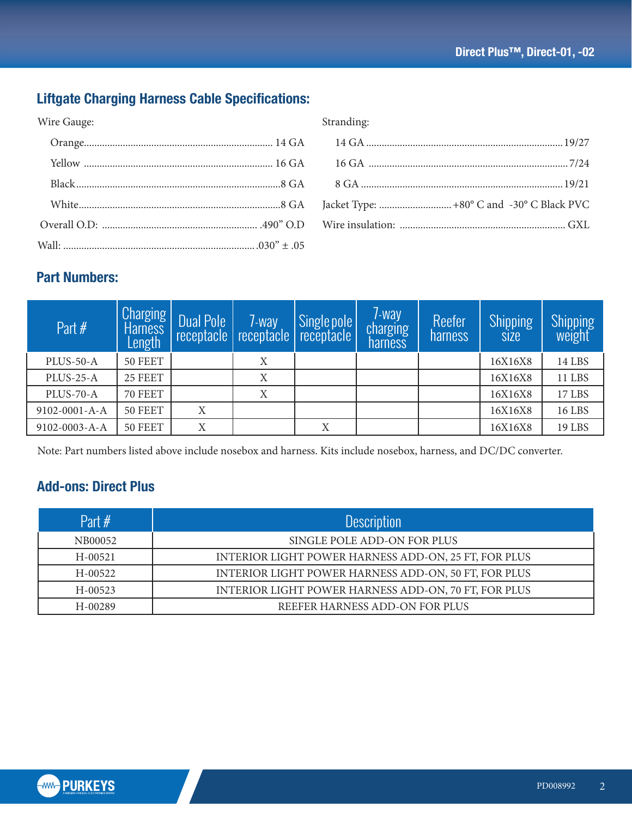# Liftgate Charging Harness Cable Specifications:

| Wire Gauge: | Stranding: |
|-------------|------------|
|             |            |
|             |            |
|             |            |
|             |            |
|             |            |
|             |            |

## Part Numbers:

| Part $#$      | Charging<br><b>Harness</b><br>Length | <b>Dual Pole</b> | 7-way | Single pole<br>receptacle   receptacle   receptacle | 7-way<br>charging<br>harness | Reefer<br>harness | <b>Shipping</b><br><b>SIZE</b> | Shipping<br>weight |
|---------------|--------------------------------------|------------------|-------|-----------------------------------------------------|------------------------------|-------------------|--------------------------------|--------------------|
| PLUS-50-A     | 50 FEET                              |                  | X     |                                                     |                              |                   | 16X16X8                        | 14 LBS             |
| PLUS-25-A     | 25 FEET                              |                  | Χ     |                                                     |                              |                   | 16X16X8                        | <b>11 LBS</b>      |
| PLUS-70-A     | 70 FEET                              |                  | X     |                                                     |                              |                   | 16X16X8                        | 17 LBS             |
| 9102-0001-A-A | 50 FEET                              | X                |       |                                                     |                              |                   | 16X16X8                        | <b>16 LBS</b>      |
| 9102-0003-A-A | 50 FEET                              | X                |       | X                                                   |                              |                   | 16X16X8                        | 19 LBS             |

Note: Part numbers listed above include nosebox and harness. Kits include nosebox, harness, and DC/DC converter.

# Add-ons: Direct Plus

| Part $#$    | <b>Description</b>                                   |
|-------------|------------------------------------------------------|
| NB00052     | SINGLE POLE ADD-ON FOR PLUS                          |
| $H - 00521$ | INTERIOR LIGHT POWER HARNESS ADD-ON, 25 FT, FOR PLUS |
| $H - 00522$ | INTERIOR LIGHT POWER HARNESS ADD-ON, 50 FT, FOR PLUS |
| $H - 00523$ | INTERIOR LIGHT POWER HARNESS ADD-ON, 70 FT, FOR PLUS |
| $H - 00289$ | REEFER HARNESS ADD-ON FOR PLUS                       |

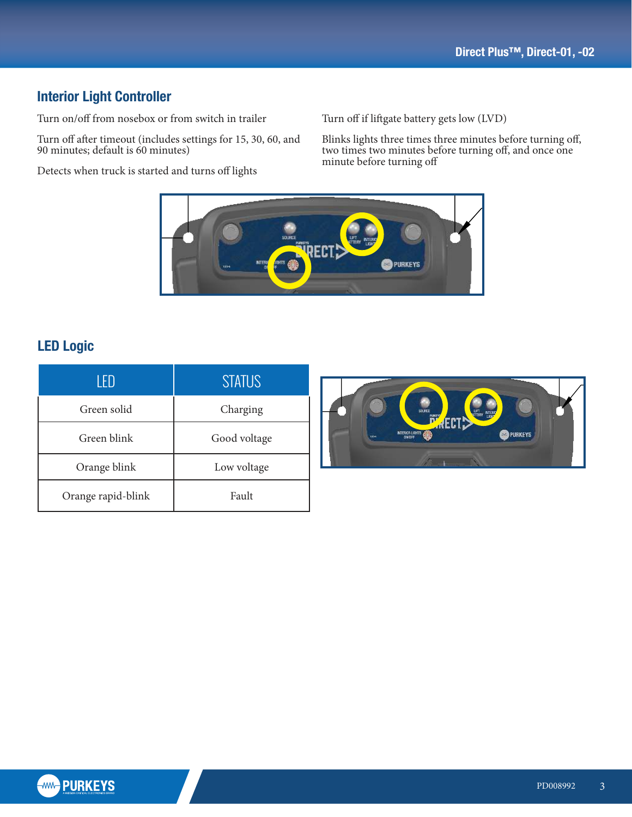## Interior Light Controller

Turn on/off from nosebox or from switch in trailer

Turn off after timeout (includes settings for 15, 30, 60, and 90 minutes; default is 60 minutes)

Detects when truck is started and turns off lights

Turn off if liftgate battery gets low (LVD)

 $f<sub>2</sub>$  $\frac{1}{2}$  two 1 Blinks lights three times three minutes before turning off, two times two minutes before turning off, and once one minut<mark>e before turning off</mark>



OR AS A WHOLE WITHOUT THE WRITTEN PERMISSION OF PURKEYS IS PROHIBITED.

## LED Logic

| 1 FD               | <b>STATUS</b> |
|--------------------|---------------|
| Green solid        | Charging      |
| Green blink        | Good voltage  |
| Orange blink       | Low voltage   |
| Orange rapid-blink | Fault         |



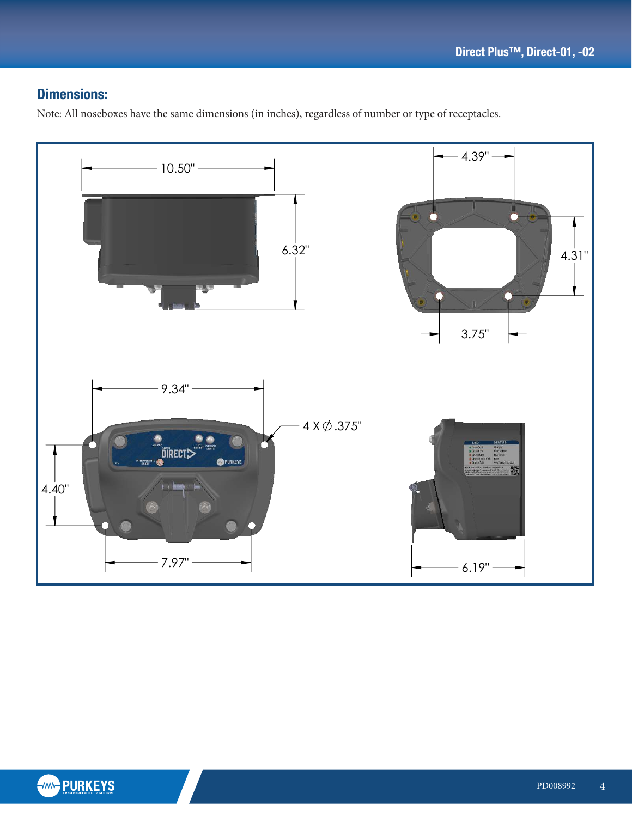## Dimensions:

Note: All noseboxes have the same dimensions (in inches), regardless of number or type of receptacles.

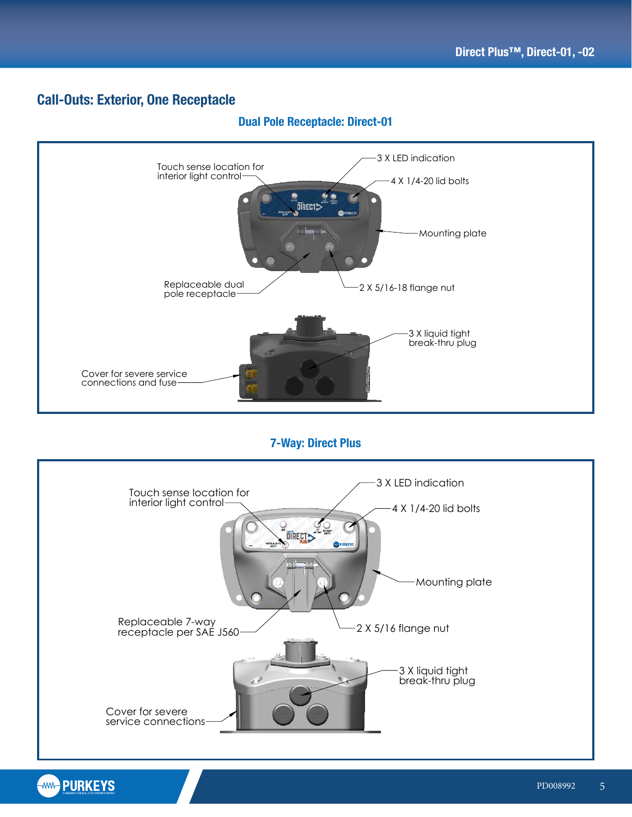#### Call-Outs: Exterior, One Receptacle



#### Dual Pole Receptacle: Direct-01

7-Way: Direct Plus



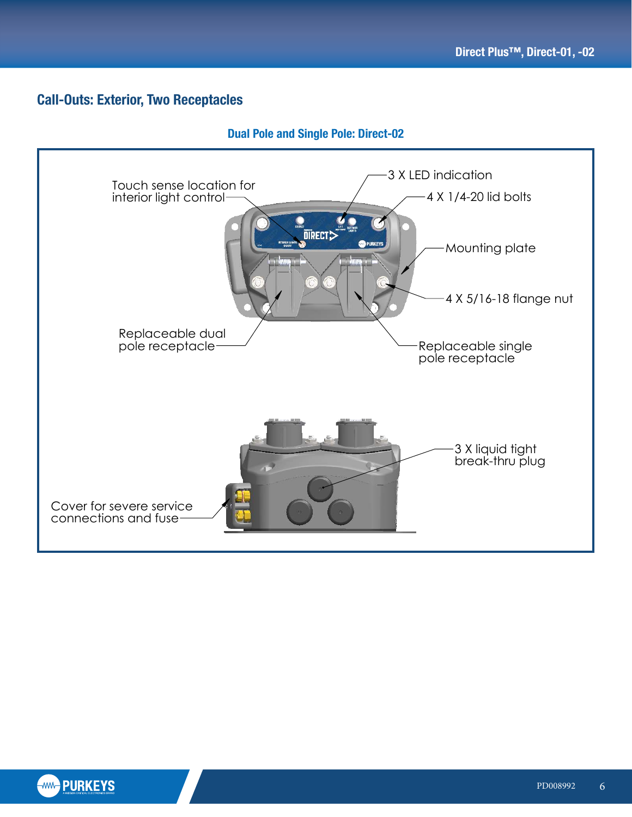## Call-Outs: Exterior, Two Receptacles

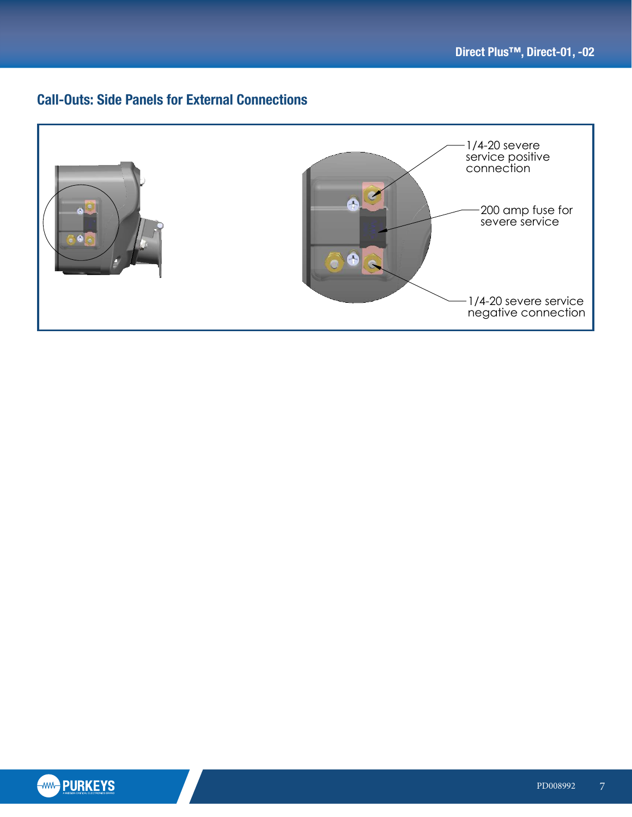negative connection

## **Call-Outs: Side Panels for External Connections**